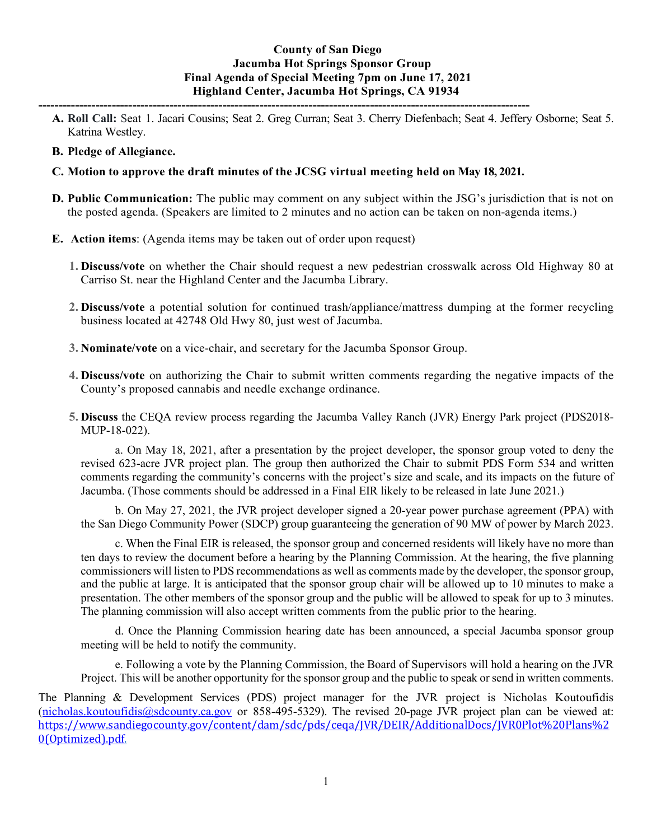# **County of San Diego Jacumba Hot Springs Sponsor Group Final Agenda of Special Meeting 7pm on June 17, 2021 Highland Center, Jacumba Hot Springs, CA 91934**

**------------------------------------------------------------------------------------------------------------------------ A. Roll Call:** Seat 1. Jacari Cousins; Seat 2. Greg Curran; Seat 3. Cherry Diefenbach; Seat 4. Jeffery Osborne; Seat 5. Katrina Westley.

## **B. Pledge of Allegiance.**

## **C. Motion to approve the draft minutes of the JCSG virtual meeting held on May 18, 2021.**

**D. Public Communication:** The public may comment on any subject within the JSG's jurisdiction that is not on the posted agenda. (Speakers are limited to 2 minutes and no action can be taken on non-agenda items.)

### **E. Action items**: (Agenda items may be taken out of order upon request)

- **1. Discuss/vote** on whether the Chair should request a new pedestrian crosswalk across Old Highway 80 at Carriso St. near the Highland Center and the Jacumba Library.
- **2. Discuss/vote** a potential solution for continued trash/appliance/mattress dumping at the former recycling business located at 42748 Old Hwy 80, just west of Jacumba.
- **3. Nominate/vote** on a vice-chair, and secretary for the Jacumba Sponsor Group.
- **4. Discuss/vote** on authorizing the Chair to submit written comments regarding the negative impacts of the County's proposed cannabis and needle exchange ordinance.
- **5. Discuss** the CEQA review process regarding the Jacumba Valley Ranch (JVR) Energy Park project (PDS2018- MUP-18-022).

a. On May 18, 2021, after a presentation by the project developer, the sponsor group voted to deny the revised 623-acre JVR project plan. The group then authorized the Chair to submit PDS Form 534 and written comments regarding the community's concerns with the project's size and scale, and its impacts on the future of Jacumba. (Those comments should be addressed in a Final EIR likely to be released in late June 2021.)

b. On May 27, 2021, the JVR project developer signed a 20-year power purchase agreement (PPA) with the San Diego Community Power (SDCP) group guaranteeing the generation of 90 MW of power by March 2023.

c. When the Final EIR is released, the sponsor group and concerned residents will likely have no more than ten days to review the document before a hearing by the Planning Commission. At the hearing, the five planning commissioners will listen to PDS recommendations as well as comments made by the developer, the sponsor group, and the public at large. It is anticipated that the sponsor group chair will be allowed up to 10 minutes to make a presentation. The other members of the sponsor group and the public will be allowed to speak for up to 3 minutes. The planning commission will also accept written comments from the public prior to the hearing.

d. Once the Planning Commission hearing date has been announced, a special Jacumba sponsor group meeting will be held to notify the community.

e. Following a vote by the Planning Commission, the Board of Supervisors will hold a hearing on the JVR Project. This will be another opportunity for the sponsor group and the public to speak or send in written comments.

The Planning & Development Services (PDS) project manager for the JVR project is Nicholas Koutoufidis [\(nicholas.koutoufidis@sdcounty.ca.gov](mailto:nicholas.koutoufidis@sdcounty.ca.gov) or 858-495-5329). The revised 20-page JVR project plan can be viewed at: [https://www.sandiegocounty.gov/content/dam/sdc/pds/ceqa/JVR/DEIR/AdditionalDocs/JVR0Plot%20Plans%2](https://www.sandiegocounty.gov/content/dam/sdc/pds/ceqa/JVR/DEIR/AdditionalDocs/JVR0Plot%20Plans%20(Optimized).pdf) [0\(Optimized\).pdf.](https://www.sandiegocounty.gov/content/dam/sdc/pds/ceqa/JVR/DEIR/AdditionalDocs/JVR0Plot%20Plans%20(Optimized).pdf)